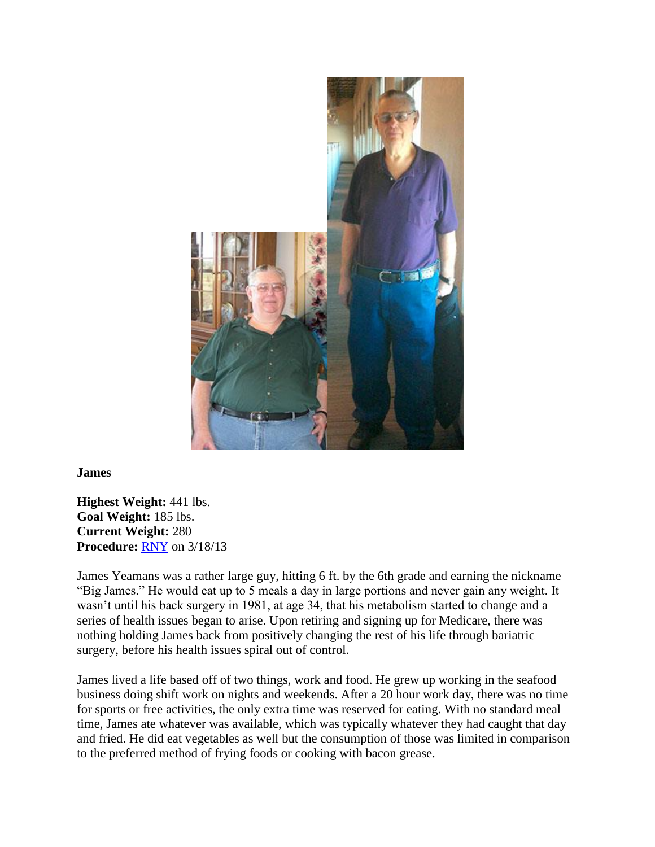

**James**

**Highest Weight:** 441 lbs. **Goal Weight:** 185 lbs. **Current Weight:** 280 **Procedure:** [RNY](http://texasbariatricspecialists.com/gastric-bypass-surgery-austin) on 3/18/13

James Yeamans was a rather large guy, hitting 6 ft. by the 6th grade and earning the nickname "Big James." He would eat up to 5 meals a day in large portions and never gain any weight. It wasn't until his back surgery in 1981, at age 34, that his metabolism started to change and a series of health issues began to arise. Upon retiring and signing up for Medicare, there was nothing holding James back from positively changing the rest of his life through bariatric surgery, before his health issues spiral out of control.

James lived a life based off of two things, work and food. He grew up working in the seafood business doing shift work on nights and weekends. After a 20 hour work day, there was no time for sports or free activities, the only extra time was reserved for eating. With no standard meal time, James ate whatever was available, which was typically whatever they had caught that day and fried. He did eat vegetables as well but the consumption of those was limited in comparison to the preferred method of frying foods or cooking with bacon grease.